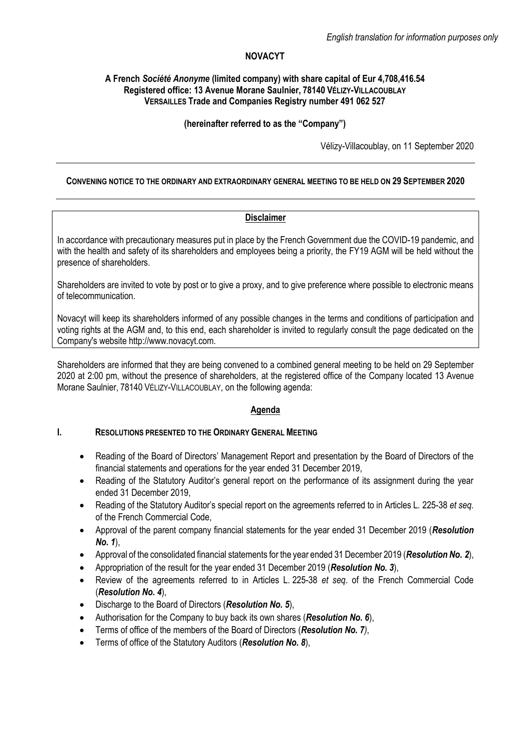# **NOVACYT**

## **A French** *Société Anonyme* **(limited company) with share capital of Eur 4,708,416.54 Registered office: 13 Avenue Morane Saulnier, 78140 VÉLIZY-VILLACOUBLAY VERSAILLES Trade and Companies Registry number 491 062 527**

## **(hereinafter referred to as the "Company")**

Vélizy-Villacoublay, on 11 September 2020

## **CONVENING NOTICE TO THE ORDINARY AND EXTRAORDINARY GENERAL MEETING TO BE HELD ON 29 SEPTEMBER 2020**

## **Disclaimer**

In accordance with precautionary measures put in place by the French Government due the COVID-19 pandemic, and with the health and safety of its shareholders and employees being a priority, the FY19 AGM will be held without the presence of shareholders.

Shareholders are invited to vote by post or to give a proxy, and to give preference where possible to electronic means of telecommunication.

Novacyt will keep its shareholders informed of any possible changes in the terms and conditions of participation and voting rights at the AGM and, to this end, each shareholder is invited to regularly consult the page dedicated on the Company's website http://www.novacyt.com.

Shareholders are informed that they are being convened to a combined general meeting to be held on 29 September 2020 at 2:00 pm, without the presence of shareholders, at the registered office of the Company located 13 Avenue Morane Saulnier, 78140 VÉLIZY-VILLACOUBLAY, on the following agenda:

# **Agenda**

# **I. RESOLUTIONS PRESENTED TO THE ORDINARY GENERAL MEETING**

- Reading of the Board of Directors' Management Report and presentation by the Board of Directors of the financial statements and operations for the year ended 31 December 2019,
- Reading of the Statutory Auditor's general report on the performance of its assignment during the year ended 31 December 2019,
- Reading of the Statutory Auditor's special report on the agreements referred to in Articles L. 225-38 *et seq.* of the French Commercial Code,
- Approval of the parent company financial statements for the year ended 31 December 2019 (*Resolution No. 1*),
- Approval of the consolidated financial statements for the year ended 31 December 2019 (*Resolution No. 2*),
- Appropriation of the result for the year ended 31 December 2019 (*Resolution No. 3*),
- Review of the agreements referred to in Articles L. 225-38 *et seq*. of the French Commercial Code (*Resolution No. 4*),
- Discharge to the Board of Directors (*Resolution No. 5*),
- Authorisation for the Company to buy back its own shares (*Resolution No. 6*),
- Terms of office of the members of the Board of Directors (*Resolution No. 7)*,
- Terms of office of the Statutory Auditors (*Resolution No. 8*),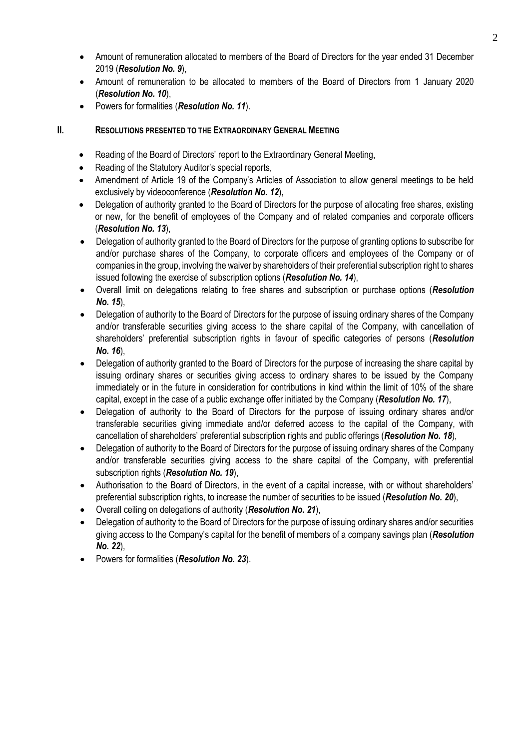- Amount of remuneration allocated to members of the Board of Directors for the year ended 31 December 2019 (*Resolution No. 9*),
- Amount of remuneration to be allocated to members of the Board of Directors from 1 January 2020 (*Resolution No. 10*),
- Powers for formalities (*Resolution No. 11*).

# **II. RESOLUTIONS PRESENTED TO THE EXTRAORDINARY GENERAL MEETING**

- Reading of the Board of Directors' report to the Extraordinary General Meeting,
- Reading of the Statutory Auditor's special reports,
- Amendment of Article 19 of the Company's Articles of Association to allow general meetings to be held exclusively by videoconference (*Resolution No. 12*),
- Delegation of authority granted to the Board of Directors for the purpose of allocating free shares, existing or new, for the benefit of employees of the Company and of related companies and corporate officers (*Resolution No. 13*),
- Delegation of authority granted to the Board of Directors for the purpose of granting options to subscribe for and/or purchase shares of the Company, to corporate officers and employees of the Company or of companies in the group, involving the waiver by shareholders of their preferential subscription right to shares issued following the exercise of subscription options (*Resolution No. 14*),
- Overall limit on delegations relating to free shares and subscription or purchase options (*Resolution No. 15*),
- Delegation of authority to the Board of Directors for the purpose of issuing ordinary shares of the Company and/or transferable securities giving access to the share capital of the Company, with cancellation of shareholders' preferential subscription rights in favour of specific categories of persons (*Resolution No. 16*),
- Delegation of authority granted to the Board of Directors for the purpose of increasing the share capital by issuing ordinary shares or securities giving access to ordinary shares to be issued by the Company immediately or in the future in consideration for contributions in kind within the limit of 10% of the share capital, except in the case of a public exchange offer initiated by the Company (*Resolution No. 17*),
- Delegation of authority to the Board of Directors for the purpose of issuing ordinary shares and/or transferable securities giving immediate and/or deferred access to the capital of the Company, with cancellation of shareholders' preferential subscription rights and public offerings (*Resolution No. 18*),
- Delegation of authority to the Board of Directors for the purpose of issuing ordinary shares of the Company and/or transferable securities giving access to the share capital of the Company, with preferential subscription rights (*Resolution No. 19*),
- Authorisation to the Board of Directors, in the event of a capital increase, with or without shareholders' preferential subscription rights, to increase the number of securities to be issued (*Resolution No. 20*),
- Overall ceiling on delegations of authority (*Resolution No. 21*),
- Delegation of authority to the Board of Directors for the purpose of issuing ordinary shares and/or securities giving access to the Company's capital for the benefit of members of a company savings plan (*Resolution No. 22*),
- Powers for formalities (*Resolution No. 23*).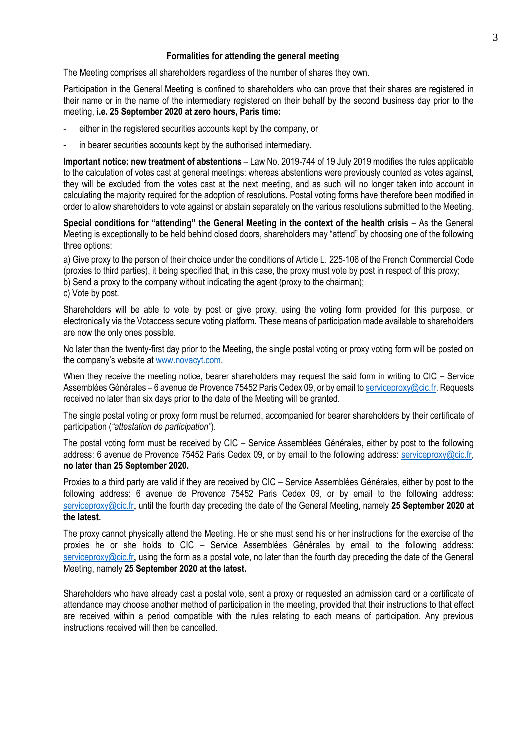#### **Formalities for attending the general meeting**

The Meeting comprises all shareholders regardless of the number of shares they own.

Participation in the General Meeting is confined to shareholders who can prove that their shares are registered in their name or in the name of the intermediary registered on their behalf by the second business day prior to the meeting, **i.e. 25 September 2020 at zero hours, Paris time:**

- either in the registered securities accounts kept by the company, or
- in bearer securities accounts kept by the authorised intermediary.

**Important notice: new treatment of abstentions** – Law No. 2019-744 of 19 July 2019 modifies the rules applicable to the calculation of votes cast at general meetings: whereas abstentions were previously counted as votes against, they will be excluded from the votes cast at the next meeting, and as such will no longer taken into account in calculating the majority required for the adoption of resolutions. Postal voting forms have therefore been modified in order to allow shareholders to vote against or abstain separately on the various resolutions submitted to the Meeting.

**Special conditions for "attending" the General Meeting in the context of the health crisis – As the General** Meeting is exceptionally to be held behind closed doors, shareholders may "attend" by choosing one of the following three options:

a) Give proxy to the person of their choice under the conditions of Article L. 225-106 of the French Commercial Code (proxies to third parties), it being specified that, in this case, the proxy must vote by post in respect of this proxy;

b) Send a proxy to the company without indicating the agent (proxy to the chairman);

c) Vote by post.

Shareholders will be able to vote by post or give proxy, using the voting form provided for this purpose, or electronically via the Votaccess secure voting platform. These means of participation made available to shareholders are now the only ones possible.

No later than the twenty-first day prior to the Meeting, the single postal voting or proxy voting form will be posted on the company's website at [www.novacyt.com.](http://www.novacyt.cominterparfums-finance.fr/)

When they receive the meeting notice, bearer shareholders may request the said form in writing to CIC – Service Assemblées Générales – 6 avenue de Provence 75452 Paris Cedex 09, or by email t[o serviceproxy@cic.fr.](mailto:serviceproxy@cic.fr) Requests received no later than six days prior to the date of the Meeting will be granted.

The single postal voting or proxy form must be returned, accompanied for bearer shareholders by their certificate of participation (*"attestation de participation"*).

The postal voting form must be received by CIC – Service Assemblées Générales, either by post to the following address: 6 avenue de Provence 75452 Paris Cedex 09, or by email to the following address: [serviceproxy@cic.fr,](mailto:serviceproxy@cic.fr) **no later than 25 September 2020.**

Proxies to a third party are valid if they are received by CIC – Service Assemblées Générales, either by post to the following address: 6 avenue de Provence 75452 Paris Cedex 09, or by email to the following address: [serviceproxy@cic.fr](mailto:serviceproxy@cic.fr), until the fourth day preceding the date of the General Meeting, namely **25 September 2020 at the latest.**

The proxy cannot physically attend the Meeting. He or she must send his or her instructions for the exercise of the proxies he or she holds to CIC – Service Assemblées Générales by email to the following address: [serviceproxy@cic.fr](mailto:serviceproxy@cic.fr), using the form as a postal vote, no later than the fourth day preceding the date of the General Meeting, namely **25 September 2020 at the latest.**

Shareholders who have already cast a postal vote, sent a proxy or requested an admission card or a certificate of attendance may choose another method of participation in the meeting, provided that their instructions to that effect are received within a period compatible with the rules relating to each means of participation. Any previous instructions received will then be cancelled.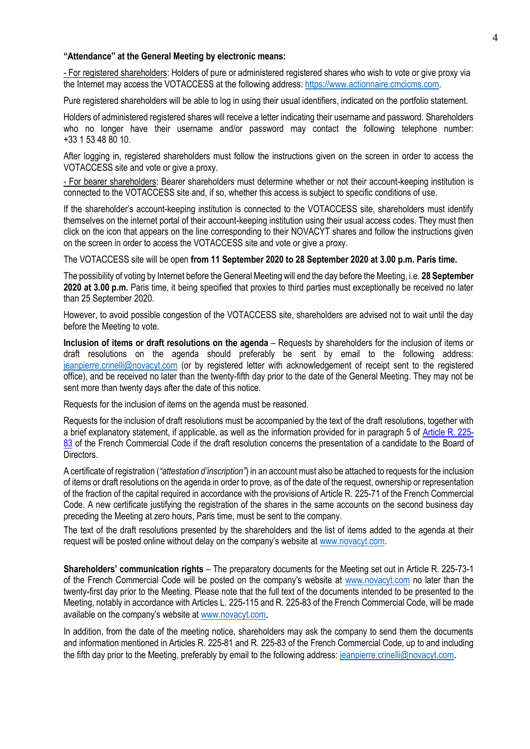#### **"Attendance" at the General Meeting by electronic means:**

- For registered shareholders: Holders of pure or administered registered shares who wish to vote or give proxy via the Internet may access the VOTACCESS at the following address[: https://www.actionnaire.cmcicms.com.](https://www.actionnaire.cmcicms.com/)

Pure registered shareholders will be able to log in using their usual identifiers, indicated on the portfolio statement.

Holders of administered registered shares will receive a letter indicating their username and password. Shareholders who no longer have their username and/or password may contact the following telephone number: +33 1 53 48 80 10.

After logging in, registered shareholders must follow the instructions given on the screen in order to access the VOTACCESS site and vote or give a proxy.

- For bearer shareholders: Bearer shareholders must determine whether or not their account-keeping institution is connected to the VOTACCESS site and, if so, whether this access is subject to specific conditions of use.

If the shareholder's account-keeping institution is connected to the VOTACCESS site, shareholders must identify themselves on the internet portal of their account-keeping institution using their usual access codes. They must then click on the icon that appears on the line corresponding to their NOVACYT shares and follow the instructions given on the screen in order to access the VOTACCESS site and vote or give a proxy.

The VOTACCESS site will be open **from 11 September 2020 to 28 September 2020 at 3.00 p.m. Paris time.**

The possibility of voting by Internet before the General Meeting will end the day before the Meeting, i.e. **28 September 2020 at 3.00 p.m.** Paris time, it being specified that proxies to third parties must exceptionally be received no later than 25 September 2020.

However, to avoid possible congestion of the VOTACCESS site, shareholders are advised not to wait until the day before the Meeting to vote.

**Inclusion of items or draft resolutions on the agenda** – Requests by shareholders for the inclusion of items or draft resolutions on the agenda should preferably be sent by email to the following address: jeanpierre.crinelli@novacyt.com (or by registered letter with acknowledgement of receipt sent to the registered office), and be received no later than the twenty-fifth day prior to the date of the General Meeting. They may not be sent more than twenty days after the date of this notice.

Requests for the inclusion of items on the agenda must be reasoned.

Requests for the inclusion of draft resolutions must be accompanied by the text of the draft resolutions, together with a brief explanatory statement, if applicable, as well as the information provided for in paragraph 5 of [Article R.](http://www.legifrance.gouv.fr/affichCodeArticle.do;jsessionid=558836EFDA7408B166E2D3E9A3FC2B02.tpdjo03v_3?cidTexte=LEGITEXT000005634379&idArticle=LEGIARTI000006261121&dateTexte=&categorieLien=cid) 225- [83](http://www.legifrance.gouv.fr/affichCodeArticle.do;jsessionid=558836EFDA7408B166E2D3E9A3FC2B02.tpdjo03v_3?cidTexte=LEGITEXT000005634379&idArticle=LEGIARTI000006261121&dateTexte=&categorieLien=cid) of the French Commercial Code if the draft resolution concerns the presentation of a candidate to the Board of Directors.

A certificate of registration (*"attestation d'inscription"*) in an account must also be attached to requests for the inclusion of items or draft resolutions on the agenda in order to prove, as of the date of the request, ownership or representation of the fraction of the capital required in accordance with the provisions of Article R. 225-71 of the French Commercial Code. A new certificate justifying the registration of the shares in the same accounts on the second business day preceding the Meeting at zero hours, Paris time, must be sent to the company.

The text of the draft resolutions presented by the shareholders and the list of items added to the agenda at their request will be posted online without delay on the company's website at [www.novacyt.com.](http://www.novacyt.com/)

**Shareholders' communication rights** – The preparatory documents for the Meeting set out in Article R. 225-73-1 of the French Commercial Code will be posted on the company's website at [www.novacyt.com](http://www.novacyt.com/) no later than the twenty-first day prior to the Meeting. Please note that the full text of the documents intended to be presented to the Meeting, notably in accordance with Articles L. 225-115 and R. 225-83 of the French Commercial Code, will be made available on the company's website at [www.novacyt.com](http://www.novacyt.com/).

In addition, from the date of the meeting notice, shareholders may ask the company to send them the documents and information mentioned in Articles R. 225-81 and R. 225-83 of the French Commercial Code, up to and including the fifth day prior to the Meeting, preferably by email to the following address: [jeanpierre.crinelli@novacyt.com](mailto:jeanpierre.crinelli@novacyt.com).